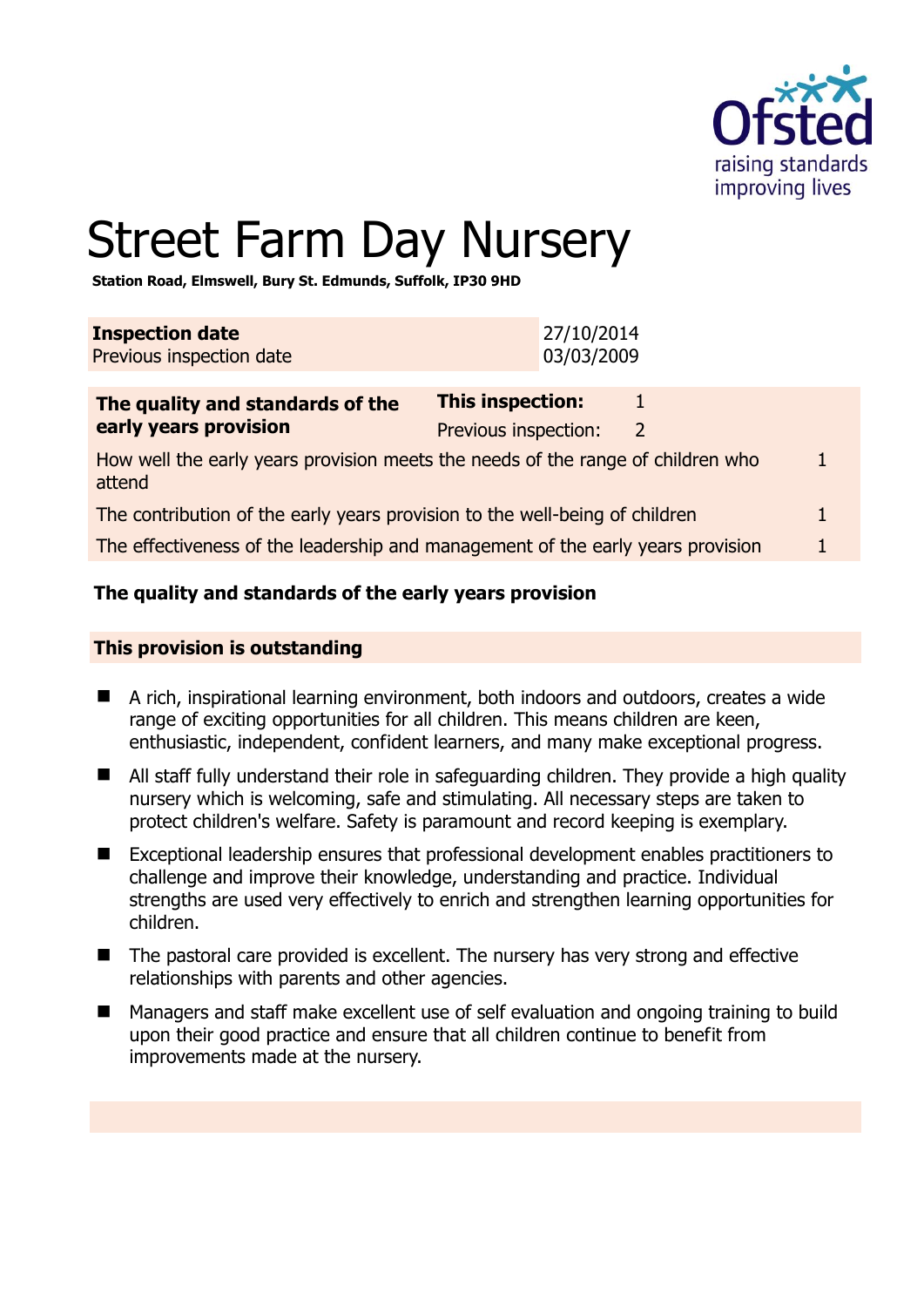

# Street Farm Day Nursery

**Station Road, Elmswell, Bury St. Edmunds, Suffolk, IP30 9HD** 

| <b>Inspection date</b><br>Previous inspection date                          |                                                 | 27/10/2014<br>03/03/2009 |   |
|-----------------------------------------------------------------------------|-------------------------------------------------|--------------------------|---|
| The quality and standards of the<br>early years provision                   | <b>This inspection:</b><br>Previous inspection: |                          | 2 |
| How well the early vears provision meets the needs of the range of children |                                                 |                          |   |

ts the needs of the range of children who attend 1

| The contribution of the early years provision to the well-being of children |  |  |
|-----------------------------------------------------------------------------|--|--|
|-----------------------------------------------------------------------------|--|--|

The effectiveness of the leadership and management of the early years provision 1

#### **The quality and standards of the early years provision**

#### **This provision is outstanding**

- A rich, inspirational learning environment, both indoors and outdoors, creates a wide range of exciting opportunities for all children. This means children are keen, enthusiastic, independent, confident learners, and many make exceptional progress.
- All staff fully understand their role in safeguarding children. They provide a high quality nursery which is welcoming, safe and stimulating. All necessary steps are taken to protect children's welfare. Safety is paramount and record keeping is exemplary.
- Exceptional leadership ensures that professional development enables practitioners to challenge and improve their knowledge, understanding and practice. Individual strengths are used very effectively to enrich and strengthen learning opportunities for children.
- The pastoral care provided is excellent. The nursery has very strong and effective relationships with parents and other agencies.
- Managers and staff make excellent use of self evaluation and ongoing training to build upon their good practice and ensure that all children continue to benefit from improvements made at the nursery.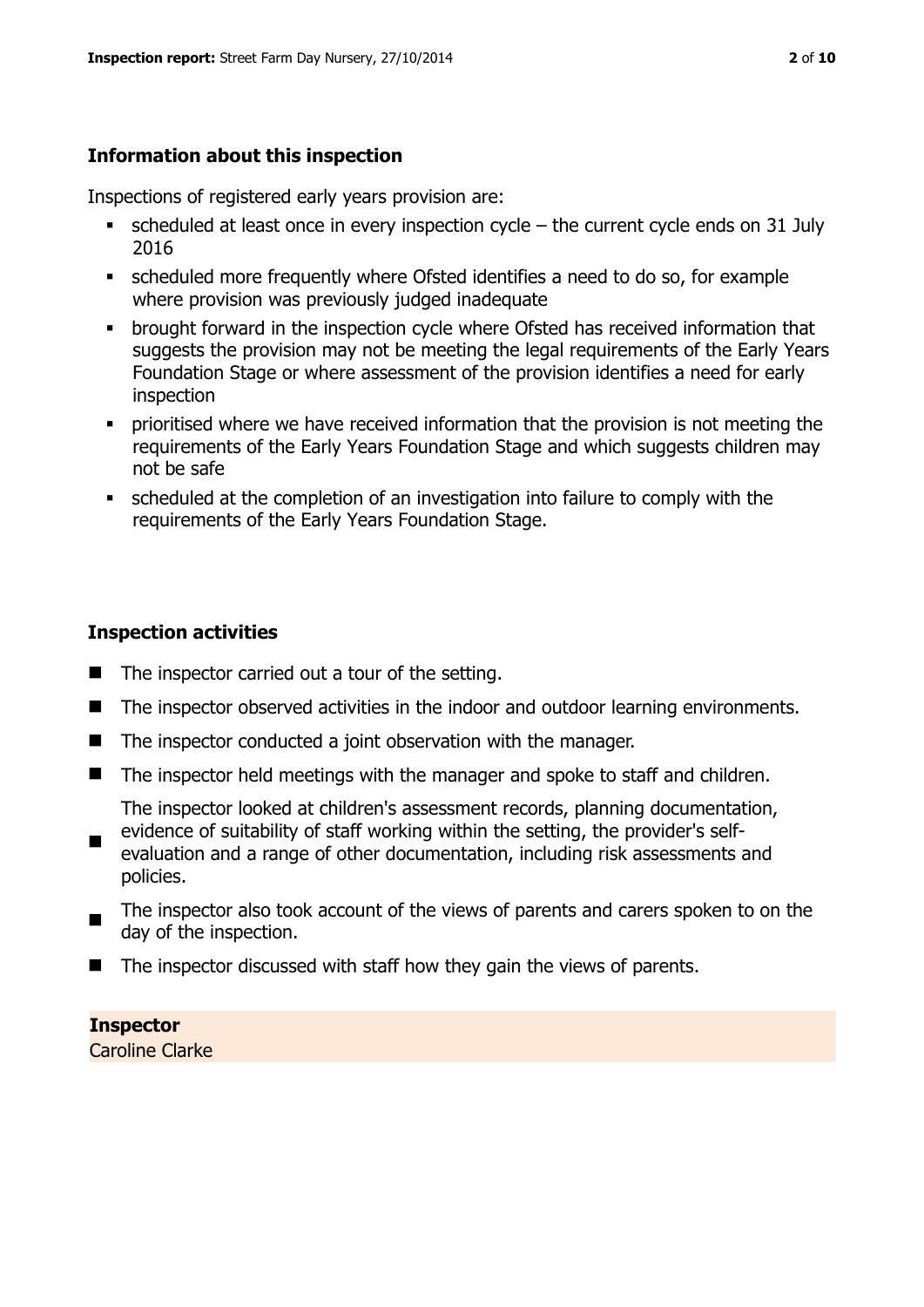# **Information about this inspection**

Inspections of registered early years provision are:

- scheduled at least once in every inspection cycle the current cycle ends on 31 July 2016
- scheduled more frequently where Ofsted identifies a need to do so, for example where provision was previously judged inadequate
- **•** brought forward in the inspection cycle where Ofsted has received information that suggests the provision may not be meeting the legal requirements of the Early Years Foundation Stage or where assessment of the provision identifies a need for early inspection
- **•** prioritised where we have received information that the provision is not meeting the requirements of the Early Years Foundation Stage and which suggests children may not be safe
- scheduled at the completion of an investigation into failure to comply with the requirements of the Early Years Foundation Stage.

#### **Inspection activities**

- $\blacksquare$  The inspector carried out a tour of the setting.
- The inspector observed activities in the indoor and outdoor learning environments.
- The inspector conducted a joint observation with the manager.
- The inspector held meetings with the manager and spoke to staff and children.

The inspector looked at children's assessment records, planning documentation, evidence of suitability of staff working within the setting, the provider's self-

- $\blacksquare$ evaluation and a range of other documentation, including risk assessments and policies.
- $\blacksquare$ The inspector also took account of the views of parents and carers spoken to on the day of the inspection.
- The inspector discussed with staff how they gain the views of parents.

#### **Inspector**  Caroline Clarke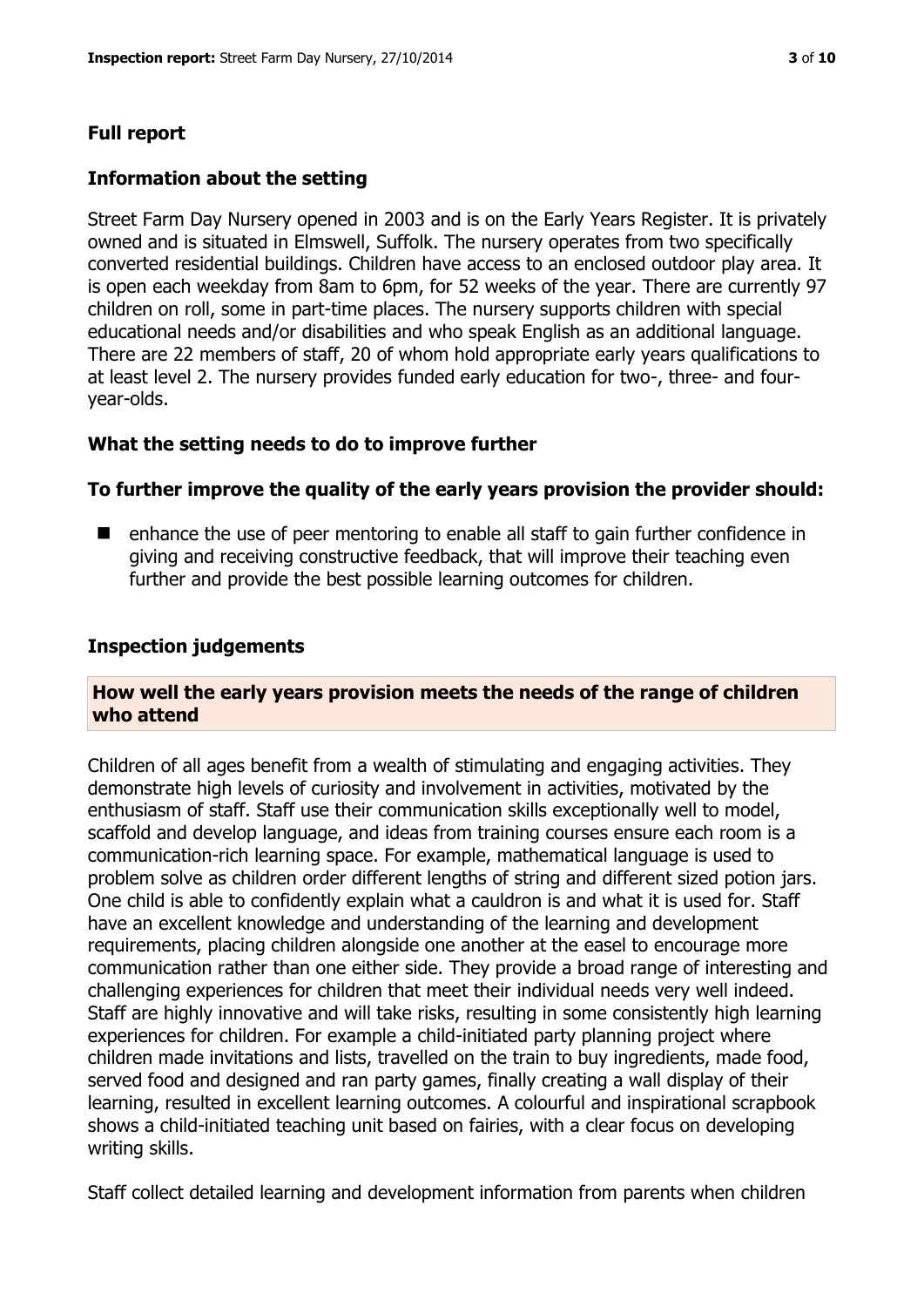# **Full report**

#### **Information about the setting**

Street Farm Day Nursery opened in 2003 and is on the Early Years Register. It is privately owned and is situated in Elmswell, Suffolk. The nursery operates from two specifically converted residential buildings. Children have access to an enclosed outdoor play area. It is open each weekday from 8am to 6pm, for 52 weeks of the year. There are currently 97 children on roll, some in part-time places. The nursery supports children with special educational needs and/or disabilities and who speak English as an additional language. There are 22 members of staff, 20 of whom hold appropriate early years qualifications to at least level 2. The nursery provides funded early education for two-, three- and fouryear-olds.

#### **What the setting needs to do to improve further**

#### **To further improve the quality of the early years provision the provider should:**

■ enhance the use of peer mentoring to enable all staff to gain further confidence in giving and receiving constructive feedback, that will improve their teaching even further and provide the best possible learning outcomes for children.

#### **Inspection judgements**

#### **How well the early years provision meets the needs of the range of children who attend**

Children of all ages benefit from a wealth of stimulating and engaging activities. They demonstrate high levels of curiosity and involvement in activities, motivated by the enthusiasm of staff. Staff use their communication skills exceptionally well to model, scaffold and develop language, and ideas from training courses ensure each room is a communication-rich learning space. For example, mathematical language is used to problem solve as children order different lengths of string and different sized potion jars. One child is able to confidently explain what a cauldron is and what it is used for. Staff have an excellent knowledge and understanding of the learning and development requirements, placing children alongside one another at the easel to encourage more communication rather than one either side. They provide a broad range of interesting and challenging experiences for children that meet their individual needs very well indeed. Staff are highly innovative and will take risks, resulting in some consistently high learning experiences for children. For example a child-initiated party planning project where children made invitations and lists, travelled on the train to buy ingredients, made food, served food and designed and ran party games, finally creating a wall display of their learning, resulted in excellent learning outcomes. A colourful and inspirational scrapbook shows a child-initiated teaching unit based on fairies, with a clear focus on developing writing skills.

Staff collect detailed learning and development information from parents when children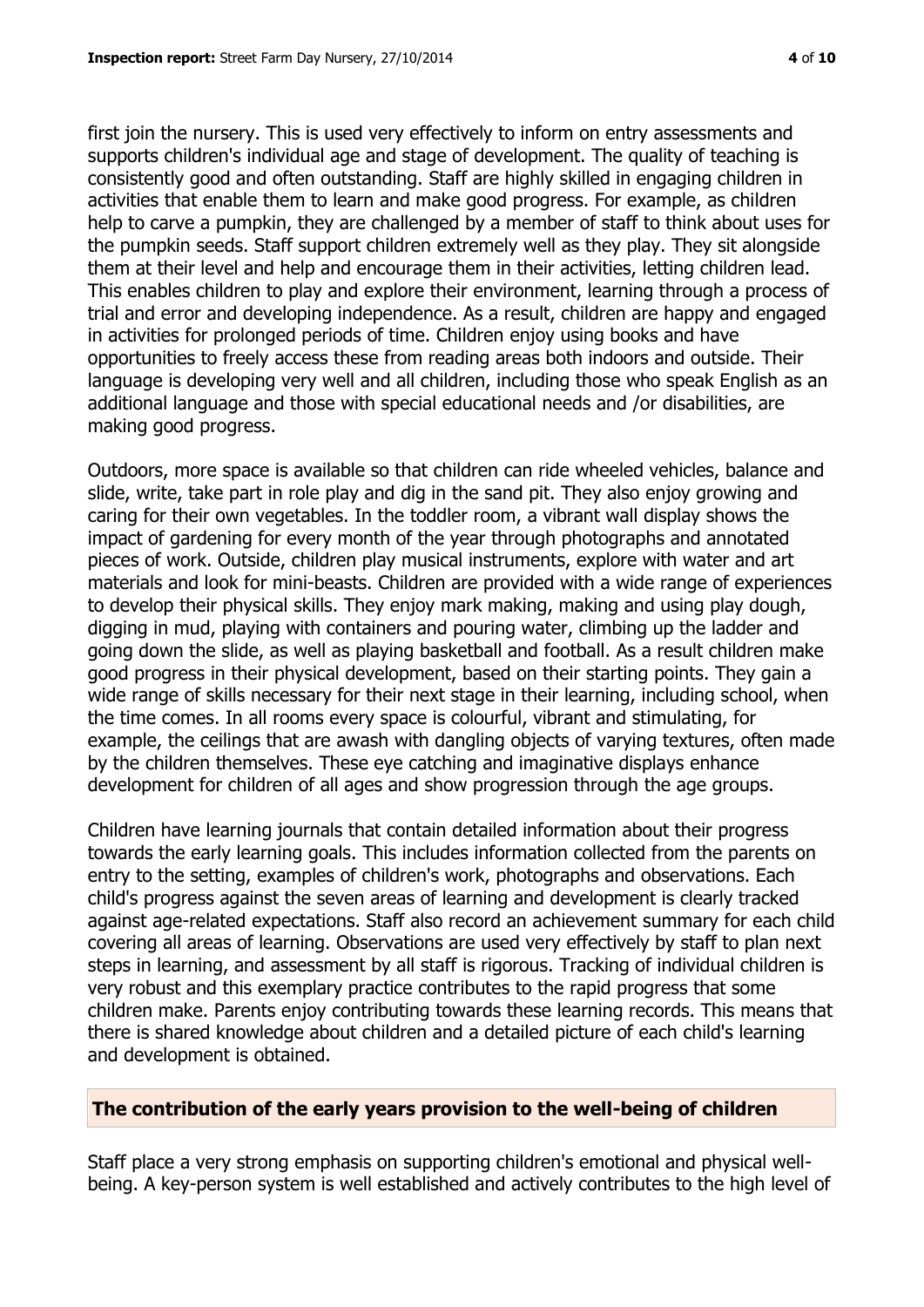first join the nursery. This is used very effectively to inform on entry assessments and supports children's individual age and stage of development. The quality of teaching is consistently good and often outstanding. Staff are highly skilled in engaging children in activities that enable them to learn and make good progress. For example, as children help to carve a pumpkin, they are challenged by a member of staff to think about uses for the pumpkin seeds. Staff support children extremely well as they play. They sit alongside them at their level and help and encourage them in their activities, letting children lead. This enables children to play and explore their environment, learning through a process of trial and error and developing independence. As a result, children are happy and engaged in activities for prolonged periods of time. Children enjoy using books and have opportunities to freely access these from reading areas both indoors and outside. Their language is developing very well and all children, including those who speak English as an additional language and those with special educational needs and /or disabilities, are making good progress.

Outdoors, more space is available so that children can ride wheeled vehicles, balance and slide, write, take part in role play and dig in the sand pit. They also enjoy growing and caring for their own vegetables. In the toddler room, a vibrant wall display shows the impact of gardening for every month of the year through photographs and annotated pieces of work. Outside, children play musical instruments, explore with water and art materials and look for mini-beasts. Children are provided with a wide range of experiences to develop their physical skills. They enjoy mark making, making and using play dough, digging in mud, playing with containers and pouring water, climbing up the ladder and going down the slide, as well as playing basketball and football. As a result children make good progress in their physical development, based on their starting points. They gain a wide range of skills necessary for their next stage in their learning, including school, when the time comes. In all rooms every space is colourful, vibrant and stimulating, for example, the ceilings that are awash with dangling objects of varying textures, often made by the children themselves. These eye catching and imaginative displays enhance development for children of all ages and show progression through the age groups.

Children have learning journals that contain detailed information about their progress towards the early learning goals. This includes information collected from the parents on entry to the setting, examples of children's work, photographs and observations. Each child's progress against the seven areas of learning and development is clearly tracked against age-related expectations. Staff also record an achievement summary for each child covering all areas of learning. Observations are used very effectively by staff to plan next steps in learning, and assessment by all staff is rigorous. Tracking of individual children is very robust and this exemplary practice contributes to the rapid progress that some children make. Parents enjoy contributing towards these learning records. This means that there is shared knowledge about children and a detailed picture of each child's learning and development is obtained.

#### **The contribution of the early years provision to the well-being of children**

Staff place a very strong emphasis on supporting children's emotional and physical wellbeing. A key-person system is well established and actively contributes to the high level of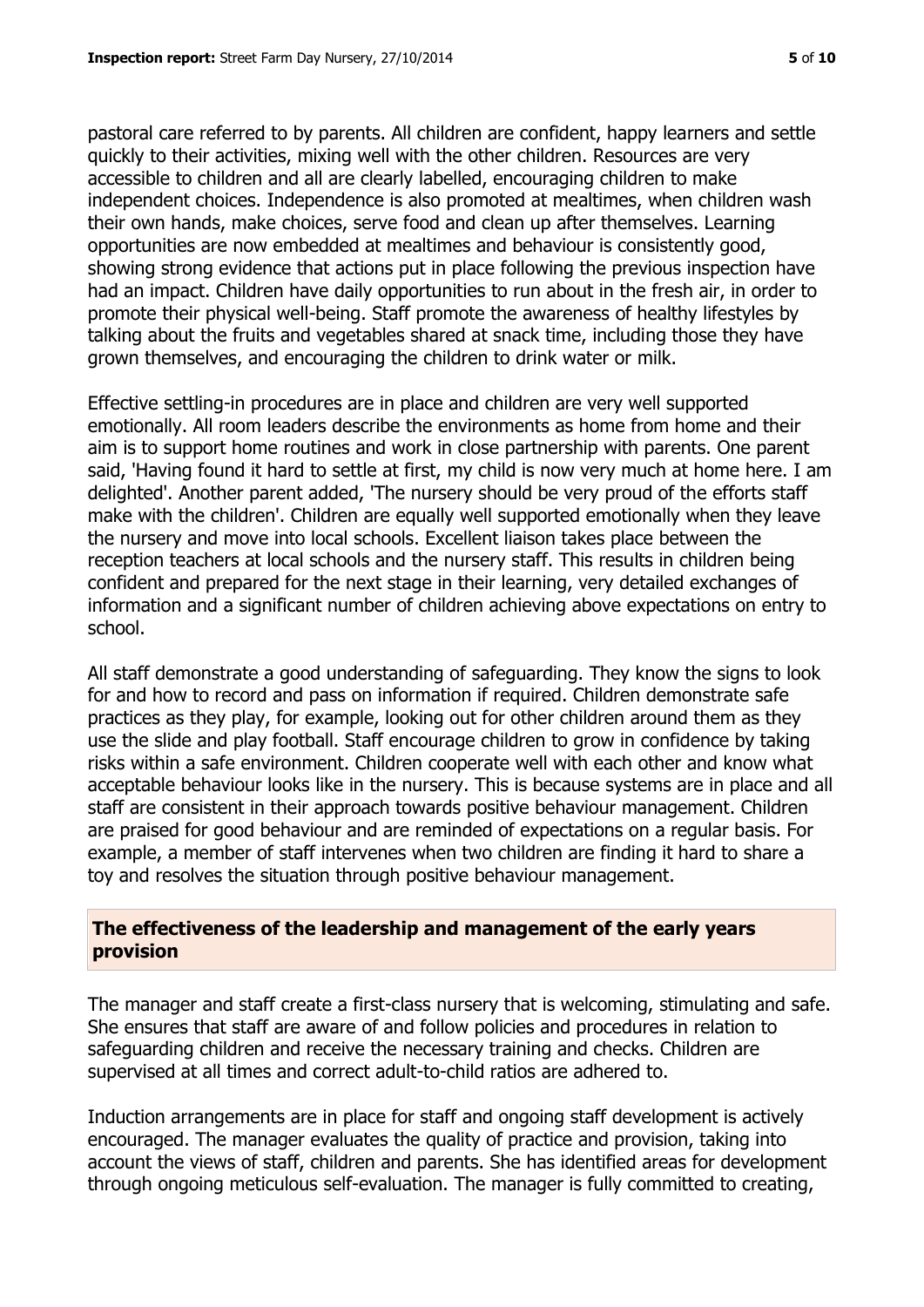pastoral care referred to by parents. All children are confident, happy learners and settle quickly to their activities, mixing well with the other children. Resources are very accessible to children and all are clearly labelled, encouraging children to make independent choices. Independence is also promoted at mealtimes, when children wash their own hands, make choices, serve food and clean up after themselves. Learning opportunities are now embedded at mealtimes and behaviour is consistently good, showing strong evidence that actions put in place following the previous inspection have had an impact. Children have daily opportunities to run about in the fresh air, in order to promote their physical well-being. Staff promote the awareness of healthy lifestyles by talking about the fruits and vegetables shared at snack time, including those they have grown themselves, and encouraging the children to drink water or milk.

Effective settling-in procedures are in place and children are very well supported emotionally. All room leaders describe the environments as home from home and their aim is to support home routines and work in close partnership with parents. One parent said, 'Having found it hard to settle at first, my child is now very much at home here. I am delighted'. Another parent added, 'The nursery should be very proud of the efforts staff make with the children'. Children are equally well supported emotionally when they leave the nursery and move into local schools. Excellent liaison takes place between the reception teachers at local schools and the nursery staff. This results in children being confident and prepared for the next stage in their learning, very detailed exchanges of information and a significant number of children achieving above expectations on entry to school.

All staff demonstrate a good understanding of safeguarding. They know the signs to look for and how to record and pass on information if required. Children demonstrate safe practices as they play, for example, looking out for other children around them as they use the slide and play football. Staff encourage children to grow in confidence by taking risks within a safe environment. Children cooperate well with each other and know what acceptable behaviour looks like in the nursery. This is because systems are in place and all staff are consistent in their approach towards positive behaviour management. Children are praised for good behaviour and are reminded of expectations on a regular basis. For example, a member of staff intervenes when two children are finding it hard to share a toy and resolves the situation through positive behaviour management.

#### **The effectiveness of the leadership and management of the early years provision**

The manager and staff create a first-class nursery that is welcoming, stimulating and safe. She ensures that staff are aware of and follow policies and procedures in relation to safeguarding children and receive the necessary training and checks. Children are supervised at all times and correct adult-to-child ratios are adhered to.

Induction arrangements are in place for staff and ongoing staff development is actively encouraged. The manager evaluates the quality of practice and provision, taking into account the views of staff, children and parents. She has identified areas for development through ongoing meticulous self-evaluation. The manager is fully committed to creating,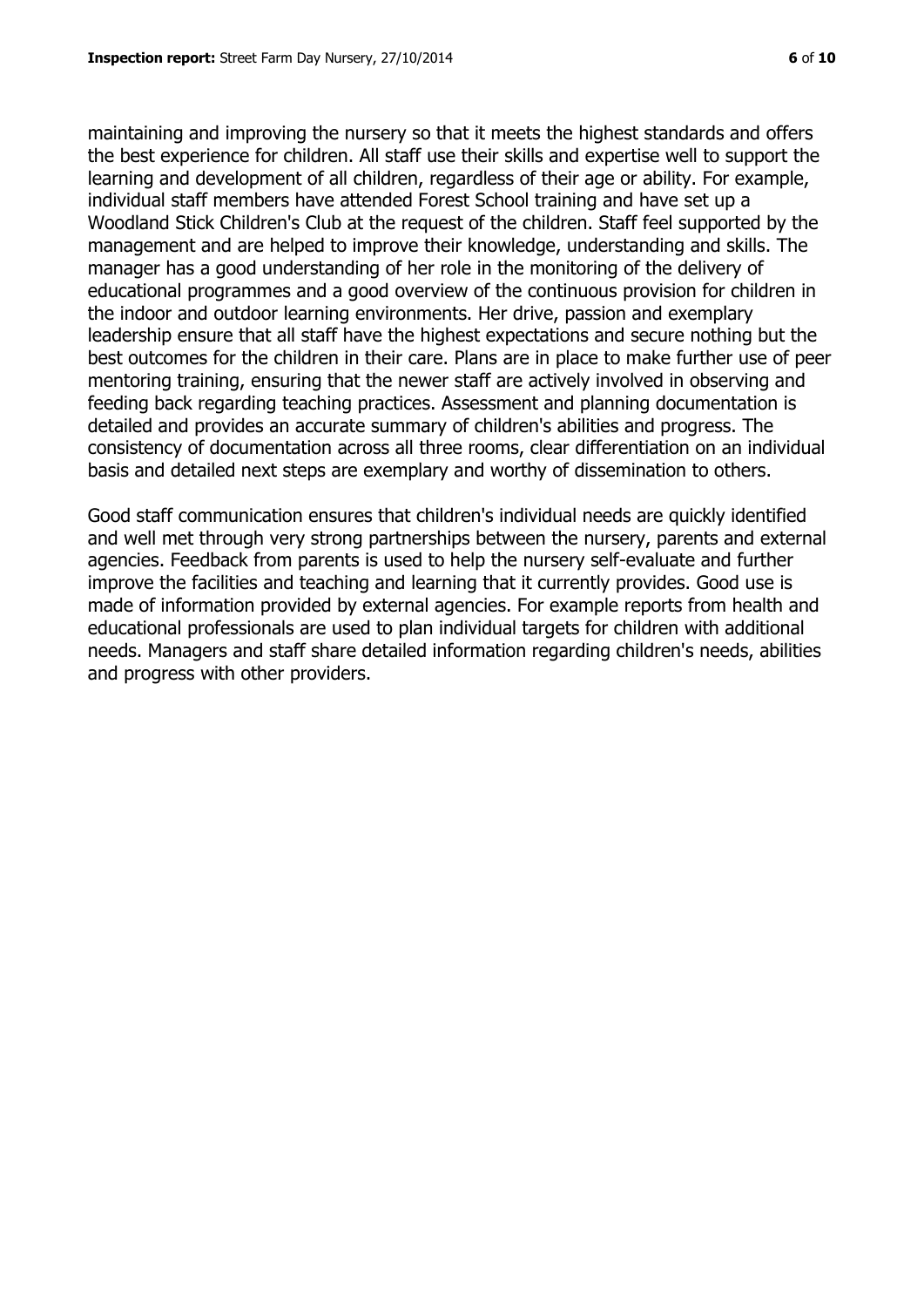maintaining and improving the nursery so that it meets the highest standards and offers the best experience for children. All staff use their skills and expertise well to support the learning and development of all children, regardless of their age or ability. For example, individual staff members have attended Forest School training and have set up a Woodland Stick Children's Club at the request of the children. Staff feel supported by the management and are helped to improve their knowledge, understanding and skills. The manager has a good understanding of her role in the monitoring of the delivery of educational programmes and a good overview of the continuous provision for children in the indoor and outdoor learning environments. Her drive, passion and exemplary leadership ensure that all staff have the highest expectations and secure nothing but the best outcomes for the children in their care. Plans are in place to make further use of peer mentoring training, ensuring that the newer staff are actively involved in observing and feeding back regarding teaching practices. Assessment and planning documentation is detailed and provides an accurate summary of children's abilities and progress. The consistency of documentation across all three rooms, clear differentiation on an individual basis and detailed next steps are exemplary and worthy of dissemination to others.

Good staff communication ensures that children's individual needs are quickly identified and well met through very strong partnerships between the nursery, parents and external agencies. Feedback from parents is used to help the nursery self-evaluate and further improve the facilities and teaching and learning that it currently provides. Good use is made of information provided by external agencies. For example reports from health and educational professionals are used to plan individual targets for children with additional needs. Managers and staff share detailed information regarding children's needs, abilities and progress with other providers.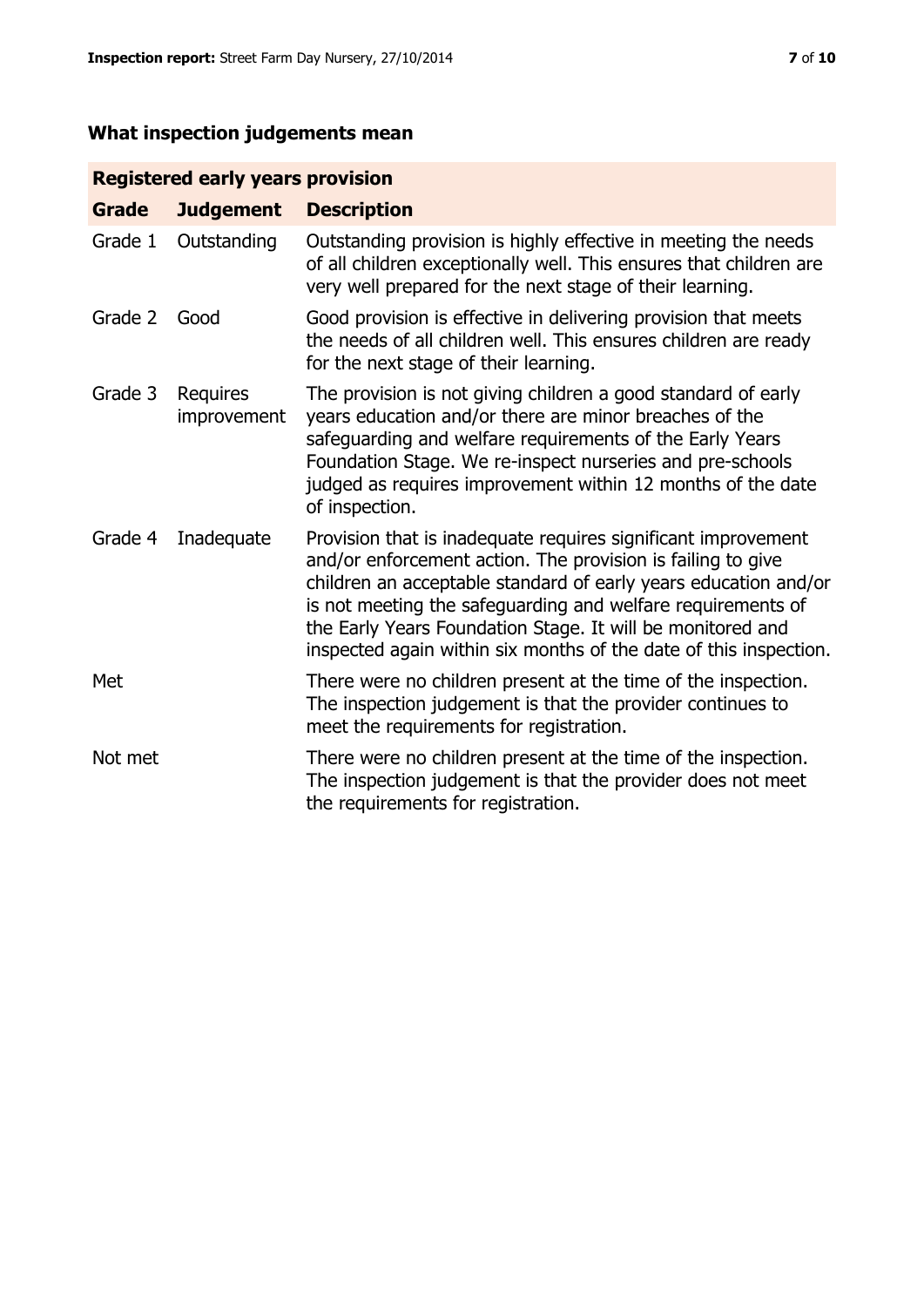# **What inspection judgements mean**

# **Registered early years provision**

| <b>Grade</b> | <b>Judgement</b>        | <b>Description</b>                                                                                                                                                                                                                                                                                                                                                                                |
|--------------|-------------------------|---------------------------------------------------------------------------------------------------------------------------------------------------------------------------------------------------------------------------------------------------------------------------------------------------------------------------------------------------------------------------------------------------|
| Grade 1      | Outstanding             | Outstanding provision is highly effective in meeting the needs<br>of all children exceptionally well. This ensures that children are<br>very well prepared for the next stage of their learning.                                                                                                                                                                                                  |
| Grade 2      | Good                    | Good provision is effective in delivering provision that meets<br>the needs of all children well. This ensures children are ready<br>for the next stage of their learning.                                                                                                                                                                                                                        |
| Grade 3      | Requires<br>improvement | The provision is not giving children a good standard of early<br>years education and/or there are minor breaches of the<br>safeguarding and welfare requirements of the Early Years<br>Foundation Stage. We re-inspect nurseries and pre-schools<br>judged as requires improvement within 12 months of the date<br>of inspection.                                                                 |
| Grade 4      | Inadequate              | Provision that is inadequate requires significant improvement<br>and/or enforcement action. The provision is failing to give<br>children an acceptable standard of early years education and/or<br>is not meeting the safeguarding and welfare requirements of<br>the Early Years Foundation Stage. It will be monitored and<br>inspected again within six months of the date of this inspection. |
| Met          |                         | There were no children present at the time of the inspection.<br>The inspection judgement is that the provider continues to<br>meet the requirements for registration.                                                                                                                                                                                                                            |
| Not met      |                         | There were no children present at the time of the inspection.<br>The inspection judgement is that the provider does not meet<br>the requirements for registration.                                                                                                                                                                                                                                |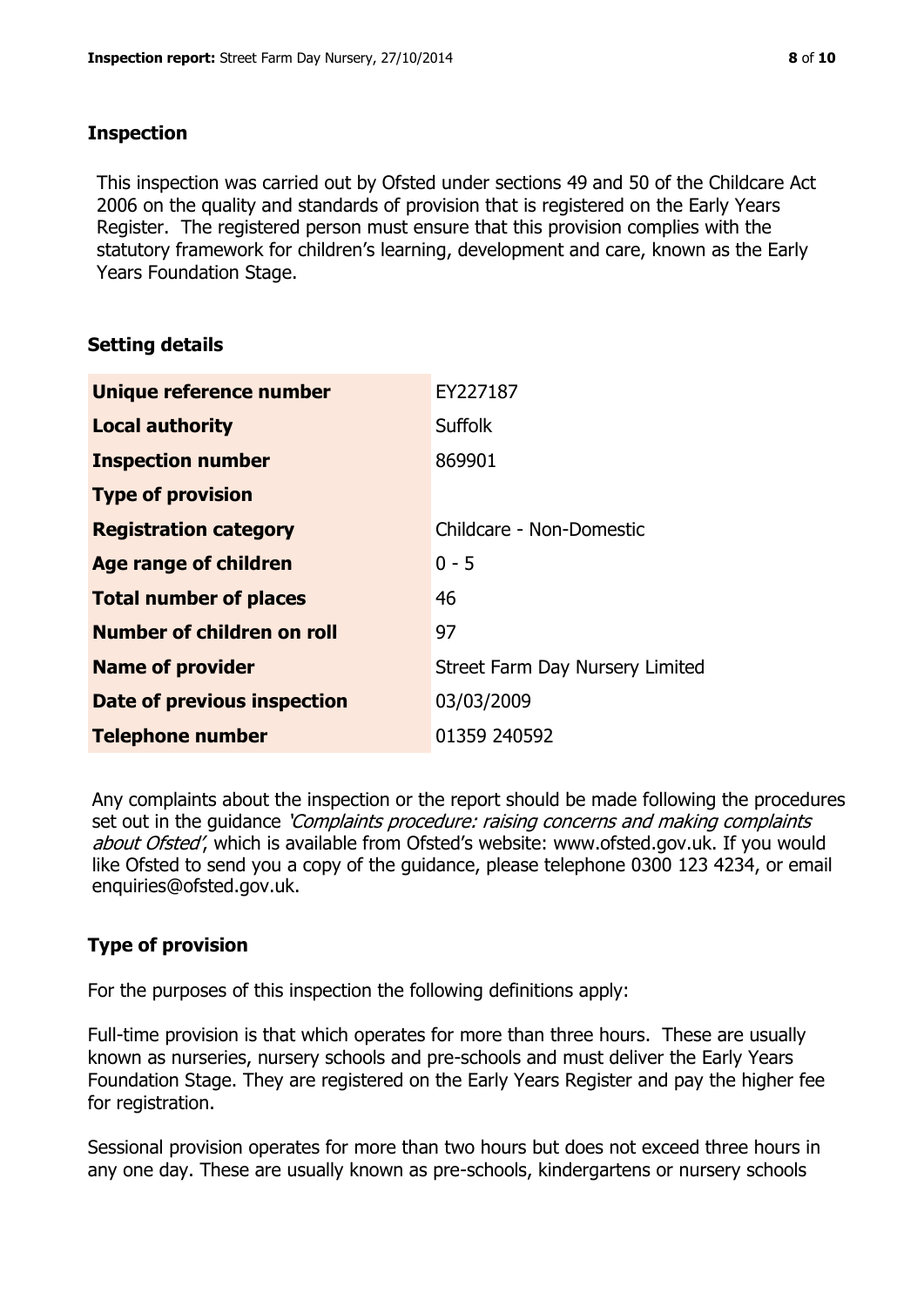#### **Inspection**

This inspection was carried out by Ofsted under sections 49 and 50 of the Childcare Act 2006 on the quality and standards of provision that is registered on the Early Years Register. The registered person must ensure that this provision complies with the statutory framework for children's learning, development and care, known as the Early Years Foundation Stage.

# **Setting details**

| Unique reference number            | EY227187                        |
|------------------------------------|---------------------------------|
| <b>Local authority</b>             | <b>Suffolk</b>                  |
| <b>Inspection number</b>           | 869901                          |
| <b>Type of provision</b>           |                                 |
| <b>Registration category</b>       | Childcare - Non-Domestic        |
| Age range of children              | $0 - 5$                         |
| <b>Total number of places</b>      | 46                              |
| Number of children on roll         | 97                              |
| <b>Name of provider</b>            | Street Farm Day Nursery Limited |
| <b>Date of previous inspection</b> | 03/03/2009                      |
| <b>Telephone number</b>            | 01359 240592                    |

Any complaints about the inspection or the report should be made following the procedures set out in the guidance *'Complaints procedure: raising concerns and making complaints* about Ofsted', which is available from Ofsted's website: www.ofsted.gov.uk. If you would like Ofsted to send you a copy of the guidance, please telephone 0300 123 4234, or email enquiries@ofsted.gov.uk.

# **Type of provision**

For the purposes of this inspection the following definitions apply:

Full-time provision is that which operates for more than three hours. These are usually known as nurseries, nursery schools and pre-schools and must deliver the Early Years Foundation Stage. They are registered on the Early Years Register and pay the higher fee for registration.

Sessional provision operates for more than two hours but does not exceed three hours in any one day. These are usually known as pre-schools, kindergartens or nursery schools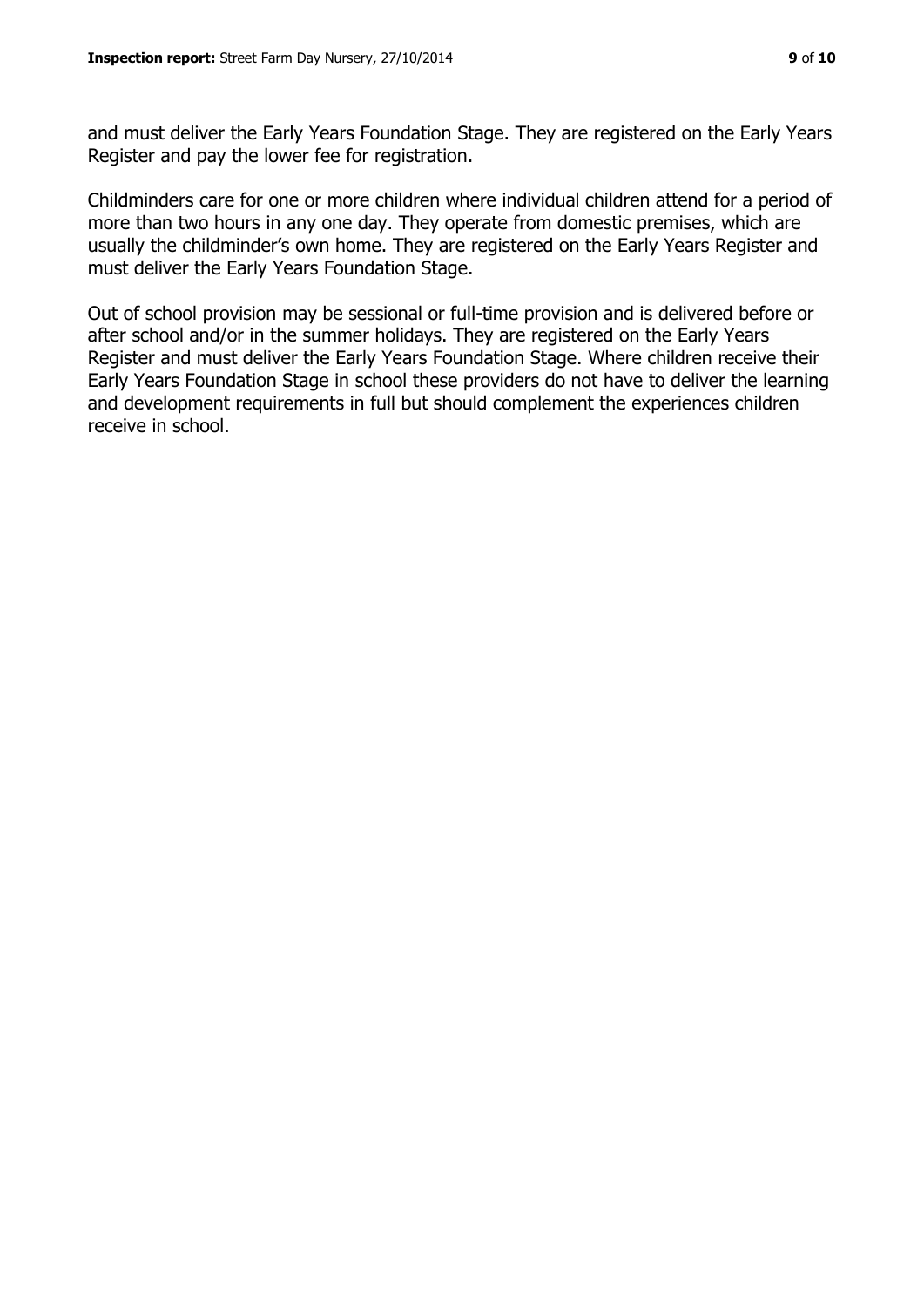and must deliver the Early Years Foundation Stage. They are registered on the Early Years Register and pay the lower fee for registration.

Childminders care for one or more children where individual children attend for a period of more than two hours in any one day. They operate from domestic premises, which are usually the childminder's own home. They are registered on the Early Years Register and must deliver the Early Years Foundation Stage.

Out of school provision may be sessional or full-time provision and is delivered before or after school and/or in the summer holidays. They are registered on the Early Years Register and must deliver the Early Years Foundation Stage. Where children receive their Early Years Foundation Stage in school these providers do not have to deliver the learning and development requirements in full but should complement the experiences children receive in school.